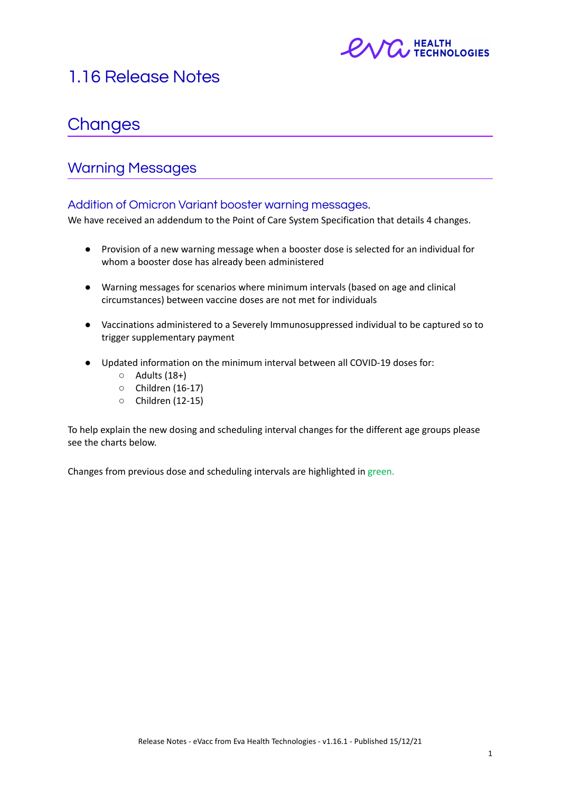

# 1.16 Release Notes

# **Changes**

# Warning Messages

# Addition of Omicron Variant booster warning messages.

We have received an addendum to the Point of Care System Specification that details 4 changes.

- Provision of a new warning message when a booster dose is selected for an individual for whom a booster dose has already been administered
- Warning messages for scenarios where minimum intervals (based on age and clinical circumstances) between vaccine doses are not met for individuals
- Vaccinations administered to a Severely Immunosuppressed individual to be captured so to trigger supplementary payment
- Updated information on the minimum interval between all COVID-19 doses for:
	- Adults (18+)
	- Children (16-17)
	- Children (12-15)

To help explain the new dosing and scheduling interval changes for the different age groups please see the charts below.

Changes from previous dose and scheduling intervals are highlighted in green.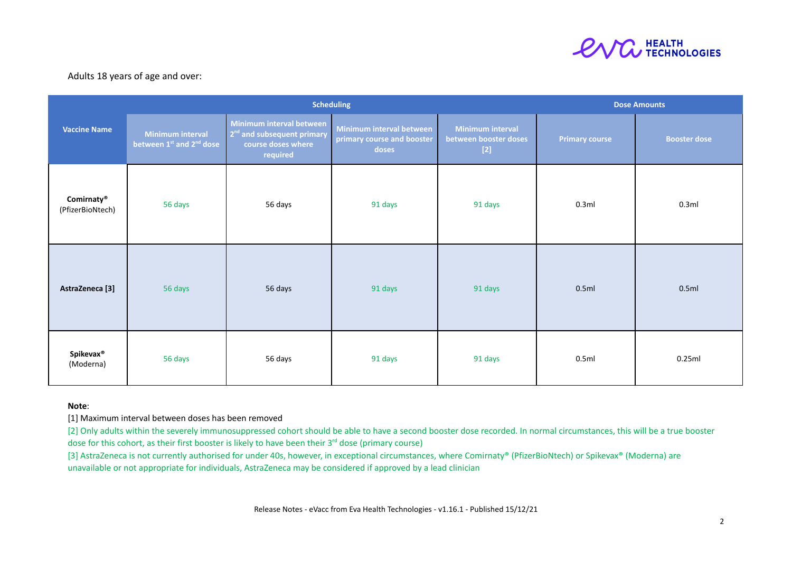

### Adults 18 years of age and over:

|                                | <b>Scheduling</b>                                        |                                                                                                      |                                                                 |                                                           |                       | <b>Dose Amounts</b> |  |  |
|--------------------------------|----------------------------------------------------------|------------------------------------------------------------------------------------------------------|-----------------------------------------------------------------|-----------------------------------------------------------|-----------------------|---------------------|--|--|
| <b>Vaccine Name</b>            | Minimum interval<br>between 1st and 2 <sup>nd</sup> dose | Minimum interval between<br>2 <sup>nd</sup> and subsequent primary<br>course doses where<br>required | Minimum interval between<br>primary course and booster<br>doses | <b>Minimum interval</b><br>between booster doses<br>$[2]$ | <b>Primary course</b> | <b>Booster dose</b> |  |  |
| Comirnaty®<br>(PfizerBioNtech) | 56 days                                                  | 56 days                                                                                              | 91 days                                                         | 91 days                                                   | 0.3ml                 | 0.3ml               |  |  |
| AstraZeneca <sup>[3]</sup>     | 56 days                                                  | 56 days                                                                                              | 91 days                                                         | 91 days                                                   | 0.5ml                 | 0.5ml               |  |  |
| <b>Spikevax®</b><br>(Moderna)  | 56 days                                                  | 56 days                                                                                              | 91 days                                                         | 91 days                                                   | 0.5ml                 | 0.25ml              |  |  |

#### **Note**:

[1] Maximum interval between doses has been removed

[2] Only adults within the severely immunosuppressed cohort should be able to have a second booster dose recorded. In normal circumstances, this will be a true booster dose for this cohort, as their first booster is likely to have been their  $3<sup>rd</sup>$  dose (primary course)

[3] AstraZeneca is not currently authorised for under 40s, however, in exceptional circumstances, where Comirnaty® (PfizerBioNtech) or Spikevax® (Moderna) are unavailable or not appropriate for individuals, AstraZeneca may be considered if approved by a lead clinician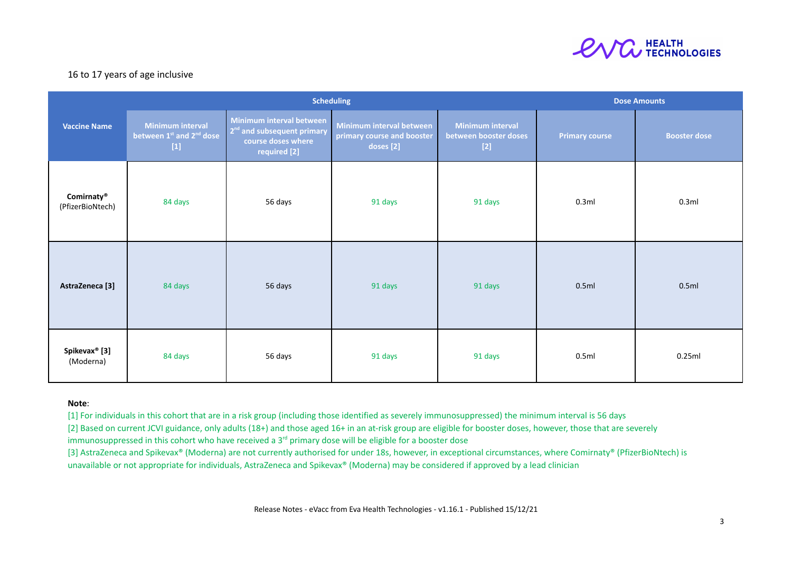

## 16 to 17 years of age inclusive

|                                            | <b>Scheduling</b>                                                        |                                                                                                          |                                                                     |                                                           | <b>Dose Amounts</b>   |                     |
|--------------------------------------------|--------------------------------------------------------------------------|----------------------------------------------------------------------------------------------------------|---------------------------------------------------------------------|-----------------------------------------------------------|-----------------------|---------------------|
| <b>Vaccine Name</b>                        | <b>Minimum interval</b><br>between 1st and 2 <sup>nd</sup> dose<br>$[1]$ | Minimum interval between<br>2 <sup>nd</sup> and subsequent primary<br>course doses where<br>required [2] | Minimum interval between<br>primary course and booster<br>doses [2] | <b>Minimum interval</b><br>between booster doses<br>$[2]$ | <b>Primary course</b> | <b>Booster dose</b> |
| Comirnaty <sup>®</sup><br>(PfizerBioNtech) | 84 days                                                                  | 56 days                                                                                                  | 91 days                                                             | 91 days                                                   | 0.3ml                 | 0.3ml               |
| AstraZeneca [3]                            | 84 days                                                                  | 56 days                                                                                                  | 91 days                                                             | 91 days                                                   | 0.5ml                 | 0.5ml               |
| Spikevax <sup>®</sup> [3]<br>(Moderna)     | 84 days                                                                  | 56 days                                                                                                  | 91 days                                                             | 91 days                                                   | 0.5ml                 | 0.25ml              |

#### **Note**:

[1] For individuals in this cohort that are in a risk group (including those identified as severely immunosuppressed) the minimum interval is 56 days

[2] Based on current JCVI guidance, only adults (18+) and those aged 16+ in an at-risk group are eligible for booster doses, however, those that are severely

immunosuppressed in this cohort who have received a  $3<sup>rd</sup>$  primary dose will be eligible for a booster dose

[3] AstraZeneca and Spikevax® (Moderna) are not currently authorised for under 18s, however, in exceptional circumstances, where Comirnaty® (PfizerBioNtech) is unavailable or not appropriate for individuals, AstraZeneca and Spikevax® (Moderna) may be considered if approved by a lead clinician

Release Notes - eVacc from Eva Health Technologies - v1.16.1 - Published 15/12/21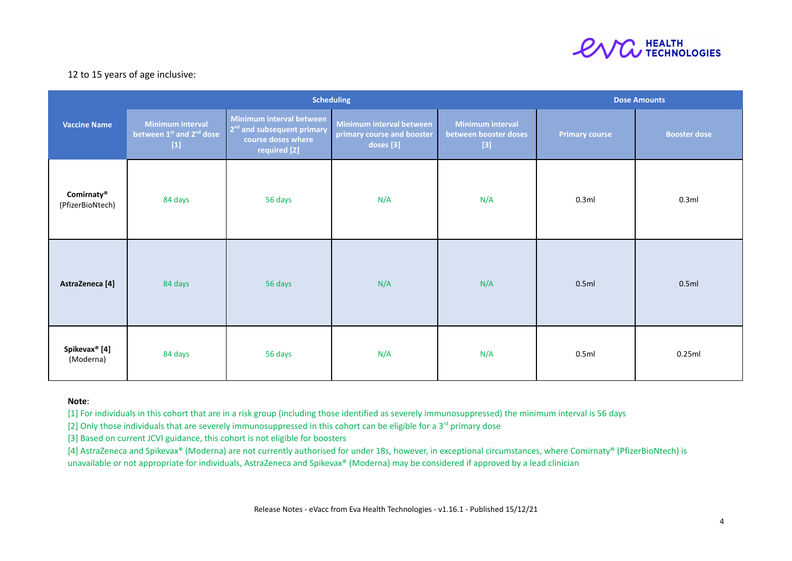

## 12 to 15 years of age inclusive:

|                                            | <b>Scheduling</b>                                                 |                                                                                                          |                                                                     |                                                           | <b>Dose Amounts</b>   |                     |  |
|--------------------------------------------|-------------------------------------------------------------------|----------------------------------------------------------------------------------------------------------|---------------------------------------------------------------------|-----------------------------------------------------------|-----------------------|---------------------|--|
| <b>Vaccine Name</b>                        | Minimum interval<br>between 1st and 2 <sup>nd</sup> dose<br>$[1]$ | Minimum interval between<br>2 <sup>nd</sup> and subsequent primary<br>course doses where<br>required [2] | Minimum interval between<br>primary course and booster<br>doses [3] | <b>Minimum interval</b><br>between booster doses<br>$[3]$ | <b>Primary course</b> | <b>Booster dose</b> |  |
| Comirnaty <sup>®</sup><br>(PfizerBioNtech) | 84 days                                                           | 56 days                                                                                                  | N/A                                                                 | N/A                                                       | 0.3ml                 | 0.3ml               |  |
| AstraZeneca [4]                            | 84 days                                                           | 56 days                                                                                                  | N/A                                                                 | N/A                                                       | 0.5ml                 | 0.5ml               |  |
| Spikevax <sup>®</sup> [4]<br>(Moderna)     | 84 days                                                           | 56 days                                                                                                  | N/A                                                                 | N/A                                                       | 0.5ml                 | 0.25ml              |  |

#### **Note**:

[1] For individuals in this cohort that are in a risk group (including those identified as severely immunosuppressed) the minimum interval is 56 days

[2] Only those individuals that are severely immunosuppressed in this cohort can be eligible for a 3<sup>rd</sup> primary dose

[3] Based on current JCVI guidance, this cohort is not eligible for boosters

[4] AstraZeneca and Spikevax® (Moderna) are not currently authorised for under 18s, however, in exceptional circumstances, where Comirnaty® (PfizerBioNtech) is unavailable or not appropriate for individuals, AstraZeneca and Spikevax® (Moderna) may be considered if approved by a lead clinician

Release Notes - eVacc from Eva Health Technologies - v1.16.1 - Published 15/12/21